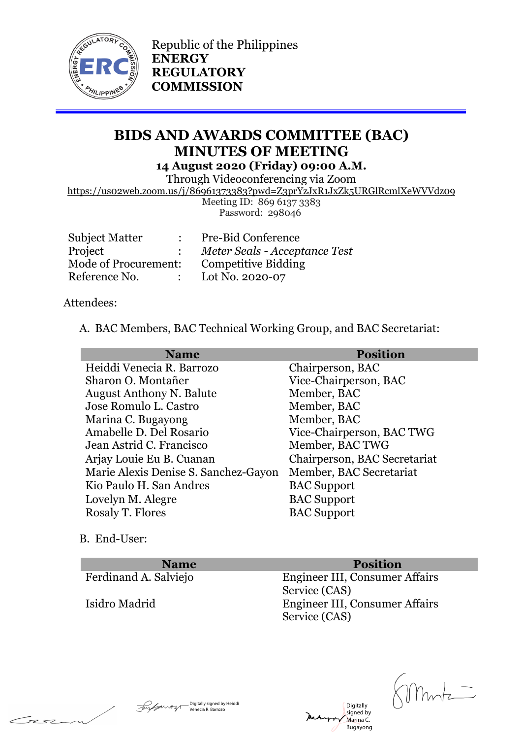

Republic of the Philippines **ENERGY REGULATORY COMMISSION**

# **BIDS AND AWARDS COMMITTEE (BAC) MINUTES OF MEETING 14 August 2020 (Friday) 09:00 A.M.**

Through Videoconferencing via Zoom

https://us02web.zoom.us/j/86961373383?pwd=Z3prYzJxR1JxZk5URGlRcmlXeWVVdz09

Meeting ID: 869 6137 3383 Password: 298046

| <b>Subject Matter</b> |  | <b>Pre-Bid Conference</b>     |
|-----------------------|--|-------------------------------|
| Project               |  | Meter Seals - Acceptance Test |
| Mode of Procurement:  |  | <b>Competitive Bidding</b>    |
| Reference No.         |  | Lot No. 2020-07               |
|                       |  |                               |

Attendees:

A. BAC Members, BAC Technical Working Group, and BAC Secretariat:

| <b>Name</b>                          | <b>Position</b>              |
|--------------------------------------|------------------------------|
| Heiddi Venecia R. Barrozo            | Chairperson, BAC             |
| Sharon O. Montañer                   | Vice-Chairperson, BAC        |
| <b>August Anthony N. Balute</b>      | Member, BAC                  |
| Jose Romulo L. Castro                | Member, BAC                  |
| Marina C. Bugayong                   | Member, BAC                  |
| Amabelle D. Del Rosario              | Vice-Chairperson, BAC TWG    |
| Jean Astrid C. Francisco             | Member, BAC TWG              |
| Arjay Louie Eu B. Cuanan             | Chairperson, BAC Secretariat |
| Marie Alexis Denise S. Sanchez-Gayon | Member, BAC Secretariat      |
| Kio Paulo H. San Andres              | <b>BAC</b> Support           |
| Lovelyn M. Alegre                    | <b>BAC</b> Support           |
| Rosaly T. Flores                     | <b>BAC</b> Support           |
|                                      |                              |

B. End-User:

Fese

| <b>Name</b>           | <b>Position</b>                                 |
|-----------------------|-------------------------------------------------|
| Ferdinand A. Salviejo | Engineer III, Consumer Affairs<br>Service (CAS) |
| Isidro Madrid         | Engineer III, Consumer Affairs<br>Service (CAS) |

Digitally signed by Marina C. Bugayong

Digitally signed by Heiddi Venecia R. Barrozo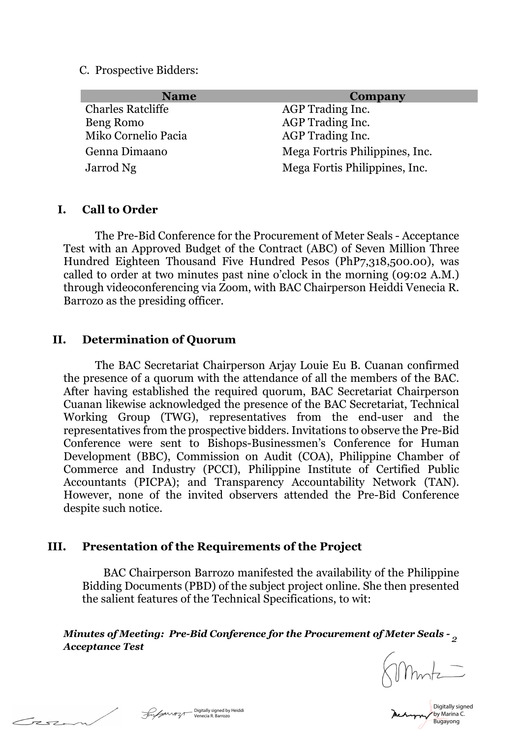C. Prospective Bidders:

| <b>Name</b>              | Company                        |
|--------------------------|--------------------------------|
| <b>Charles Ratcliffe</b> | AGP Trading Inc.               |
| Beng Romo                | AGP Trading Inc.               |
| Miko Cornelio Pacia      | AGP Trading Inc.               |
| Genna Dimaano            | Mega Fortris Philippines, Inc. |
| Jarrod Ng                | Mega Fortis Philippines, Inc.  |

### **I. Call to Order**

The Pre-Bid Conference for the Procurement of Meter Seals - Acceptance Test with an Approved Budget of the Contract (ABC) of Seven Million Three Hundred Eighteen Thousand Five Hundred Pesos (PhP7,318,500.00), was called to order at two minutes past nine o'clock in the morning (09:02 A.M.) through videoconferencing via Zoom, with BAC Chairperson Heiddi Venecia R. Barrozo as the presiding officer.

### **II. Determination of Quorum**

The BAC Secretariat Chairperson Arjay Louie Eu B. Cuanan confirmed the presence of a quorum with the attendance of all the members of the BAC. After having established the required quorum, BAC Secretariat Chairperson Cuanan likewise acknowledged the presence of the BAC Secretariat, Technical Working Group (TWG), representatives from the end-user and the representatives from the prospective bidders. Invitations to observe the Pre-Bid Conference were sent to Bishops-Businessmen's Conference for Human Development (BBC), Commission on Audit (COA), Philippine Chamber of Commerce and Industry (PCCI), Philippine Institute of Certified Public Accountants (PICPA); and Transparency Accountability Network (TAN). However, none of the invited observers attended the Pre-Bid Conference despite such notice.

### **III. Presentation of the Requirements of the Project**

 BAC Chairperson Barrozo manifested the availability of the Philippine Bidding Documents (PBD) of the subject project online. She then presented the salient features of the Technical Specifications, to wit:

*Minutes of Meeting: Pre-Bid Conference for the Procurement of Meter Seals - 2 Acceptance Test*

Digitally signed by Marina C. Digitally signed by Heiddi and Digitally signed by Heiddi and Digitally Signed by Martina and Digital Digital<br>
Venecia R. Barrozo

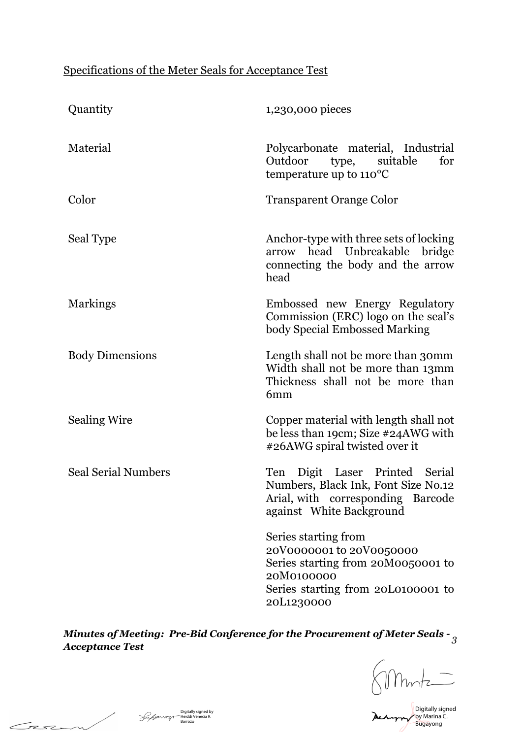## Specifications of the Meter Seals for Acceptance Test

| Quantity                   | 1,230,000 pieces                                                                                                                                         |  |
|----------------------------|----------------------------------------------------------------------------------------------------------------------------------------------------------|--|
| Material                   | Polycarbonate material, Industrial<br>Outdoor<br>type,<br>suitable<br>for<br>temperature up to $110^{\circ}$ C                                           |  |
| Color                      | <b>Transparent Orange Color</b>                                                                                                                          |  |
| Seal Type                  | Anchor-type with three sets of locking<br>arrow head Unbreakable bridge<br>connecting the body and the arrow<br>head                                     |  |
| <b>Markings</b>            | Embossed new Energy Regulatory<br>Commission (ERC) logo on the seal's<br>body Special Embossed Marking                                                   |  |
| <b>Body Dimensions</b>     | Length shall not be more than 30mm<br>Width shall not be more than 13mm<br>Thickness shall not be more than<br>6mm                                       |  |
| <b>Sealing Wire</b>        | Copper material with length shall not<br>be less than 19cm; Size #24AWG with<br>#26AWG spiral twisted over it                                            |  |
| <b>Seal Serial Numbers</b> | Ten Digit Laser Printed Serial<br>Numbers, Black Ink, Font Size No.12<br>Arial, with corresponding Barcode<br>against White Background                   |  |
|                            | Series starting from<br>20V0000001 to 20V0050000<br>Series starting from 20M0050001 to<br>20M0100000<br>Series starting from 20L0100001 to<br>20L1230000 |  |

*Minutes of Meeting: Pre-Bid Conference for the Procurement of Meter Seals - Acceptance Test <sup>3</sup>*

 $\frac{1}{\sqrt{\frac{\sum_{i=1}^{N} \binom{n}{i}}{\sum_{i=1}^{N} \binom{n}{i}}}$ 

Mehappy by Marina C. Bugayong

Digitally signed by Heiddi Venecia R. Barrozo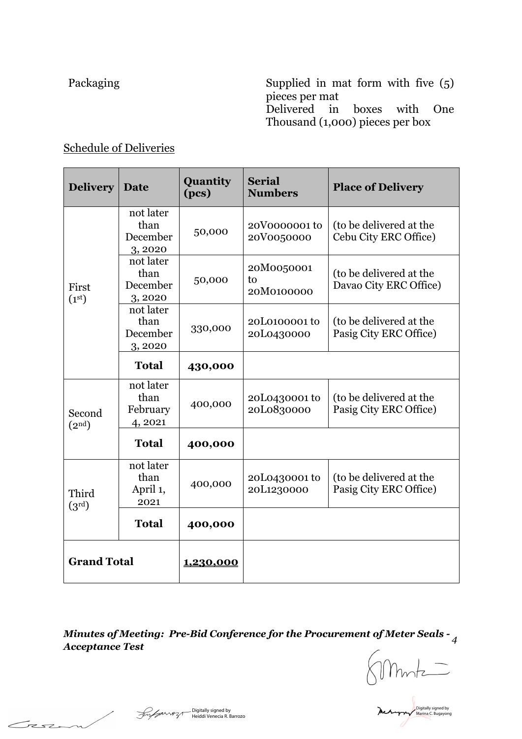Packaging Supplied in mat form with five (5) pieces per mat Delivered in boxes with One Thousand (1,000) pieces per box

## Schedule of Deliveries

| <b>Delivery</b>              | Date                                    | Quantity<br>(pcs) | <b>Serial</b><br><b>Numbers</b> | <b>Place of Delivery</b>                          |
|------------------------------|-----------------------------------------|-------------------|---------------------------------|---------------------------------------------------|
| First<br>(1 <sup>st</sup> )  | not later<br>than<br>December<br>3,2020 | 50,000            | 20V0000001 to<br>20V0050000     | (to be delivered at the<br>Cebu City ERC Office)  |
|                              | not later<br>than<br>December<br>3,2020 | 50,000            | 20M0050001<br>to<br>20M0100000  | (to be delivered at the<br>Davao City ERC Office) |
|                              | not later<br>than<br>December<br>3,2020 | 330,000           | 20L0100001 to<br>20L0430000     | (to be delivered at the<br>Pasig City ERC Office) |
|                              | <b>Total</b>                            | 430,000           |                                 |                                                   |
| Second<br>(2 <sup>nd</sup> ) | not later<br>than<br>February<br>4,2021 | 400,000           | 20L0430001 to<br>20L0830000     | (to be delivered at the<br>Pasig City ERC Office) |
|                              | <b>Total</b>                            | 400,000           |                                 |                                                   |
| Third<br>$(3^{\rm rd})$      | not later<br>than<br>April 1,<br>2021   | 400,000           | 20L0430001 to<br>20L1230000     | (to be delivered at the<br>Pasig City ERC Office) |
|                              | <b>Total</b>                            | 400,000           |                                 |                                                   |
| <b>Grand Total</b>           |                                         | 1,230,000         |                                 |                                                   |

*Minutes of Meeting: Pre-Bid Conference for the Procurement of Meter Seals - Acceptance Test <sup>4</sup>*

 $Smmz$ 

Digitally signed by

Bigitally signed by<br>Fight Heiddi Venecia R. Barrozo

Casa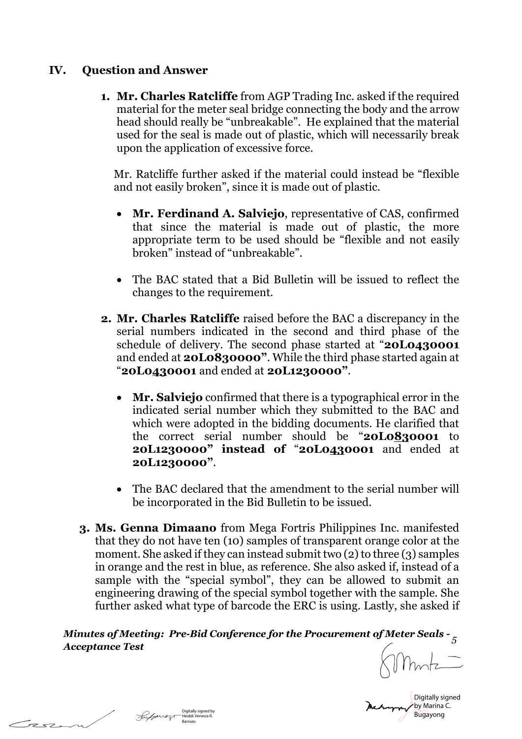## **IV. Question and Answer**

**1. Mr. Charles Ratcliffe** from AGP Trading Inc. asked if the required material for the meter seal bridge connecting the body and the arrow head should really be "unbreakable". He explained that the material used for the seal is made out of plastic, which will necessarily break upon the application of excessive force.

Mr. Ratcliffe further asked if the material could instead be "flexible and not easily broken", since it is made out of plastic.

- **Mr. Ferdinand A. Salviejo**, representative of CAS, confirmed that since the material is made out of plastic, the more appropriate term to be used should be "flexible and not easily broken" instead of "unbreakable".
- The BAC stated that a Bid Bulletin will be issued to reflect the changes to the requirement.
- **2. Mr. Charles Ratcliffe** raised before the BAC a discrepancy in the serial numbers indicated in the second and third phase of the schedule of delivery. The second phase started at "**20L0430001** and ended at **20L0830000"**. While the third phase started again at "**20L0430001** and ended at **20L1230000"**.
	- **Mr. Salviejo** confirmed that there is a typographical error in the indicated serial number which they submitted to the BAC and which were adopted in the bidding documents. He clarified that the correct serial number should be "**20L0830001** to **20L1230000" instead of** "**20L0430001** and ended at **20L1230000"**.
	- The BAC declared that the amendment to the serial number will be incorporated in the Bid Bulletin to be issued.
- **3. Ms. Genna Dimaano** from Mega Fortris Philippines Inc. manifested that they do not have ten (10) samples of transparent orange color at the moment. She asked if they can instead submit two (2) to three (3) samples in orange and the rest in blue, as reference. She also asked if, instead of a sample with the "special symbol", they can be allowed to submit an engineering drawing of the special symbol together with the sample. She further asked what type of barcode the ERC is using. Lastly, she asked if

*Minutes of Meeting: Pre-Bid Conference for the Procurement of Meter Seals - Acceptance Test <sup>5</sup>*

Digitally signed by Marina C. Bugayong

Tesz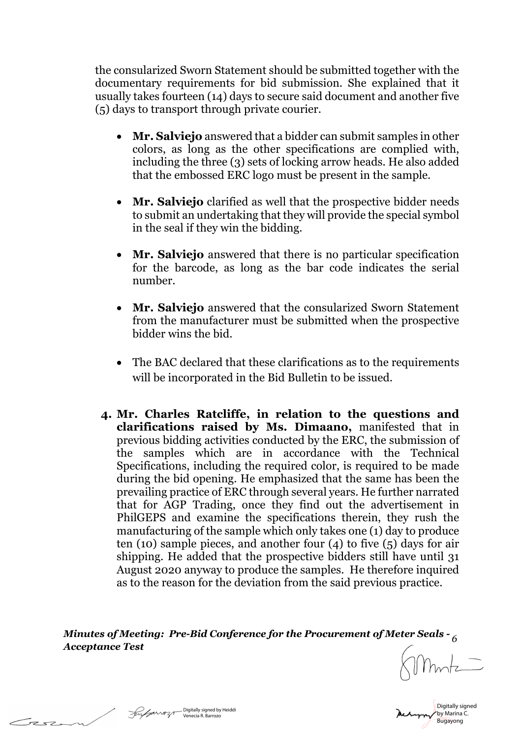the consularized Sworn Statement should be submitted together with the documentary requirements for bid submission. She explained that it usually takes fourteen (14) days to secure said document and another five (5) days to transport through private courier.

- **Mr. Salviejo** answered that a bidder can submit samples in other colors, as long as the other specifications are complied with, including the three (3) sets of locking arrow heads. He also added that the embossed ERC logo must be present in the sample.
- **Mr. Salviejo** clarified as well that the prospective bidder needs to submit an undertaking that they will provide the special symbol in the seal if they win the bidding.
- **Mr. Salviejo** answered that there is no particular specification for the barcode, as long as the bar code indicates the serial number.
- **Mr. Salviejo** answered that the consularized Sworn Statement from the manufacturer must be submitted when the prospective bidder wins the bid.
- The BAC declared that these clarifications as to the requirements will be incorporated in the Bid Bulletin to be issued.
- **4. Mr. Charles Ratcliffe, in relation to the questions and clarifications raised by Ms. Dimaano,** manifested that in previous bidding activities conducted by the ERC, the submission of the samples which are in accordance with the Technical Specifications, including the required color, is required to be made during the bid opening. He emphasized that the same has been the prevailing practice of ERC through several years. He further narrated that for AGP Trading, once they find out the advertisement in PhilGEPS and examine the specifications therein, they rush the manufacturing of the sample which only takes one (1) day to produce ten (10) sample pieces, and another four (4) to five (5) days for air shipping. He added that the prospective bidders still have until 31 August 2020 anyway to produce the samples. He therefore inquired as to the reason for the deviation from the said previous practice.

*Minutes of Meeting: Pre-Bid Conference for the Procurement of Meter Seals - 6 Acceptance Test*

Digitally signed by Marina C. Digitally signed by Heiddi المستوى المستوى المستوى المستوى المستوى المستوى المستوى المستوى المستوى المستوى الم<br>Bugayong المستوى المستوى المستوى المستوى المستوى المستوى المستوى المستوى المستوى المستوى المستوى المستوى المست

 $\mathcal{F}$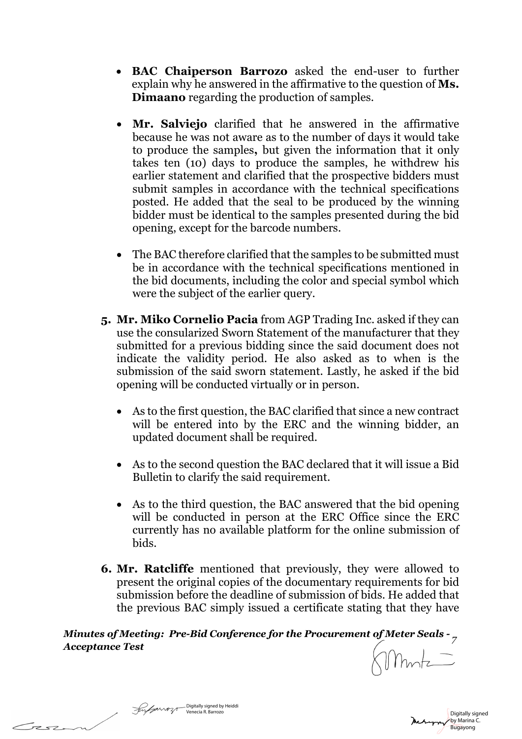- **BAC Chaiperson Barrozo** asked the end-user to further explain why he answered in the affirmative to the question of **Ms. Dimaano** regarding the production of samples.
- **Mr. Salviejo** clarified that he answered in the affirmative because he was not aware as to the number of days it would take to produce the samples**,** but given the information that it only takes ten (10) days to produce the samples, he withdrew his earlier statement and clarified that the prospective bidders must submit samples in accordance with the technical specifications posted. He added that the seal to be produced by the winning bidder must be identical to the samples presented during the bid opening, except for the barcode numbers.
- The BAC therefore clarified that the samples to be submitted must be in accordance with the technical specifications mentioned in the bid documents, including the color and special symbol which were the subject of the earlier query.
- **5. Mr. Miko Cornelio Pacia** from AGP Trading Inc. asked if they can use the consularized Sworn Statement of the manufacturer that they submitted for a previous bidding since the said document does not indicate the validity period. He also asked as to when is the submission of the said sworn statement. Lastly, he asked if the bid opening will be conducted virtually or in person.
	- As to the first question, the BAC clarified that since a new contract will be entered into by the ERC and the winning bidder, an updated document shall be required.
	- As to the second question the BAC declared that it will issue a Bid Bulletin to clarify the said requirement.
	- As to the third question, the BAC answered that the bid opening will be conducted in person at the ERC Office since the ERC currently has no available platform for the online submission of bids.
- **6. Mr. Ratcliffe** mentioned that previously, they were allowed to present the original copies of the documentary requirements for bid submission before the deadline of submission of bids. He added that the previous BAC simply issued a certificate stating that they have

*Minutes of Meeting: Pre-Bid Conference for the Procurement of Meter Seals - Acceptance Test <sup>7</sup>*

Digitally signed by Heiddi Venecia R. Barrozo

 $\tau$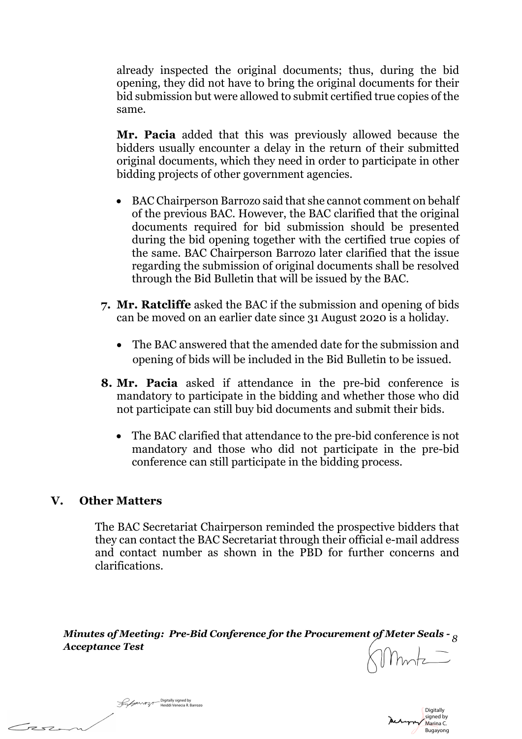already inspected the original documents; thus, during the bid opening, they did not have to bring the original documents for their bid submission but were allowed to submit certified true copies of the same.

**Mr. Pacia** added that this was previously allowed because the bidders usually encounter a delay in the return of their submitted original documents, which they need in order to participate in other bidding projects of other government agencies.

- BAC Chairperson Barrozo said that she cannot comment on behalf of the previous BAC. However, the BAC clarified that the original documents required for bid submission should be presented during the bid opening together with the certified true copies of the same. BAC Chairperson Barrozo later clarified that the issue regarding the submission of original documents shall be resolved through the Bid Bulletin that will be issued by the BAC.
- **7. Mr. Ratcliffe** asked the BAC if the submission and opening of bids can be moved on an earlier date since 31 August 2020 is a holiday.
	- The BAC answered that the amended date for the submission and opening of bids will be included in the Bid Bulletin to be issued.
- **8. Mr. Pacia** asked if attendance in the pre-bid conference is mandatory to participate in the bidding and whether those who did not participate can still buy bid documents and submit their bids.
	- The BAC clarified that attendance to the pre-bid conference is not mandatory and those who did not participate in the pre-bid conference can still participate in the bidding process.

### **V. Other Matters**

 $\mathcal{F}$ 

The BAC Secretariat Chairperson reminded the prospective bidders that they can contact the BAC Secretariat through their official e-mail address and contact number as shown in the PBD for further concerns and clarifications.

*Minutes of Meeting: Pre-Bid Conference for the Procurement of Meter Seals - 8 Acceptance Test*



Digitally signed by Heiddi Venecia R. Barrozo